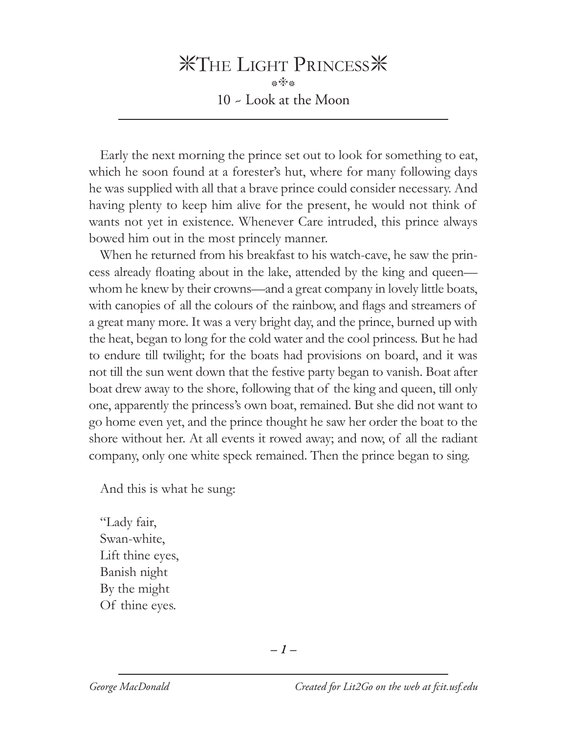## **\*THE LIGHT PRINCESS\*** >.>

10 ~ Look at the Moon

Early the next morning the prince set out to look for something to eat, which he soon found at a forester's hut, where for many following days he was supplied with all that a brave prince could consider necessary. And having plenty to keep him alive for the present, he would not think of wants not yet in existence. Whenever Care intruded, this prince always bowed him out in the most princely manner.

When he returned from his breakfast to his watch-cave, he saw the princess already floating about in the lake, attended by the king and queen whom he knew by their crowns—and a great company in lovely little boats, with canopies of all the colours of the rainbow, and flags and streamers of a great many more. It was a very bright day, and the prince, burned up with the heat, began to long for the cold water and the cool princess. But he had to endure till twilight; for the boats had provisions on board, and it was not till the sun went down that the festive party began to vanish. Boat after boat drew away to the shore, following that of the king and queen, till only one, apparently the princess's own boat, remained. But she did not want to go home even yet, and the prince thought he saw her order the boat to the shore without her. At all events it rowed away; and now, of all the radiant company, only one white speck remained. Then the prince began to sing.

And this is what he sung:

"Lady fair, Swan-white, Lift thine eyes, Banish night By the might Of thine eyes.

*– –*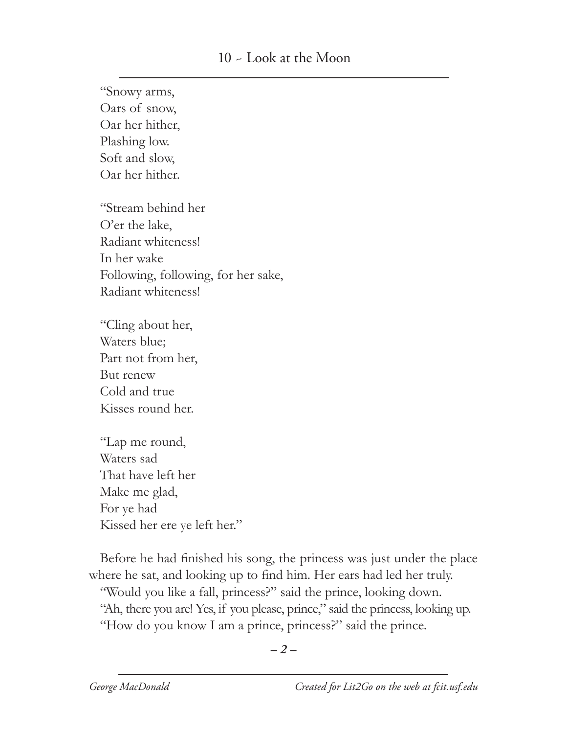"Snowy arms, Oars of snow, Oar her hither, Plashing low. Soft and slow, Oar her hither.

"Stream behind her O'er the lake, Radiant whiteness! In her wake Following, following, for her sake, Radiant whiteness!

"Cling about her, Waters blue; Part not from her, But renew Cold and true Kisses round her.

"Lap me round, Waters sad That have left her Make me glad, For ye had Kissed her ere ye left her."

Before he had finished his song, the princess was just under the place where he sat, and looking up to find him. Her ears had led her truly. "Would you like a fall, princess?" said the prince, looking down. "Ah, there you are! Yes, if you please, prince," said the princess, looking up. "How do you know I am a prince, princess?" said the prince.

*– –*